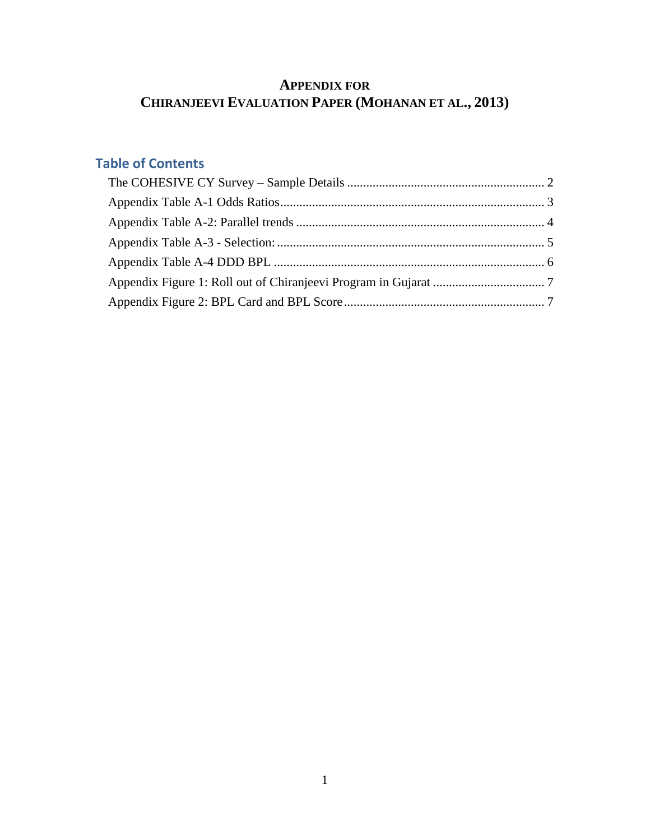# **APPENDIX FOR CHIRANJEEVI EVALUATION PAPER (MOHANAN ET AL., 2013)**

# **Table of Contents**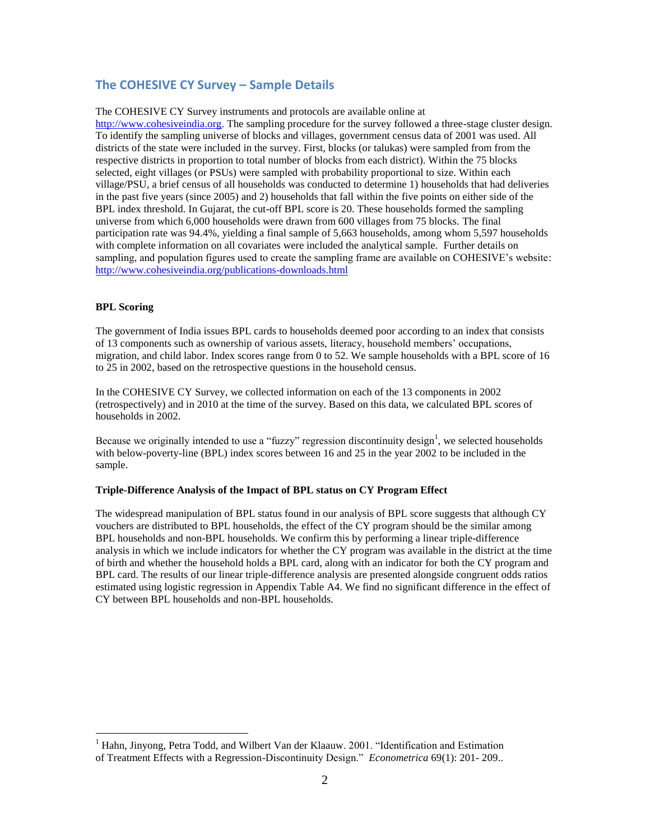### <span id="page-1-0"></span>**The COHESIVE CY Survey – Sample Details**

The COHESIVE CY Survey instruments and protocols are available online at

[http://www.cohesiveindia.org.](http://www.cohesiveindia.org/) The sampling procedure for the survey followed a three-stage cluster design. To identify the sampling universe of blocks and villages, government census data of 2001 was used. All districts of the state were included in the survey. First, blocks (or talukas) were sampled from from the respective districts in proportion to total number of blocks from each district). Within the 75 blocks selected, eight villages (or PSUs) were sampled with probability proportional to size. Within each village/PSU, a brief census of all households was conducted to determine 1) households that had deliveries in the past five years (since 2005) and 2) households that fall within the five points on either side of the BPL index threshold. In Gujarat, the cut-off BPL score is 20. These households formed the sampling universe from which 6,000 households were drawn from 600 villages from 75 blocks. The final participation rate was 94.4%, yielding a final sample of 5,663 households, among whom 5,597 households with complete information on all covariates were included the analytical sample. Further details on sampling, and population figures used to create the sampling frame are available on COHESIVE's website: <http://www.cohesiveindia.org/publications-downloads.html>

#### **BPL Scoring**

 $\overline{a}$ 

The government of India issues BPL cards to households deemed poor according to an index that consists of 13 components such as ownership of various assets, literacy, household members' occupations, migration, and child labor. Index scores range from 0 to 52. We sample households with a BPL score of 16 to 25 in 2002, based on the retrospective questions in the household census.

In the COHESIVE CY Survey, we collected information on each of the 13 components in 2002 (retrospectively) and in 2010 at the time of the survey. Based on this data, we calculated BPL scores of households in 2002.

Because we originally intended to use a "fuzzy" regression discontinuity design<sup>1</sup>, we selected households with below-poverty-line (BPL) index scores between 16 and 25 in the year 2002 to be included in the sample.

#### **Triple-Difference Analysis of the Impact of BPL status on CY Program Effect**

The widespread manipulation of BPL status found in our analysis of BPL score suggests that although CY vouchers are distributed to BPL households, the effect of the CY program should be the similar among BPL households and non-BPL households. We confirm this by performing a linear triple-difference analysis in which we include indicators for whether the CY program was available in the district at the time of birth and whether the household holds a BPL card, along with an indicator for both the CY program and BPL card. The results of our linear triple-difference analysis are presented alongside congruent odds ratios estimated using logistic regression in Appendix Table A4. We find no significant difference in the effect of CY between BPL households and non-BPL households.

<sup>&</sup>lt;sup>1</sup> Hahn, Jinyong, Petra Todd, and Wilbert Van der Klaauw. 2001. "Identification and Estimation of Treatment Effects with a Regression-Discontinuity Design." *Econometrica* 69(1): 201- 209..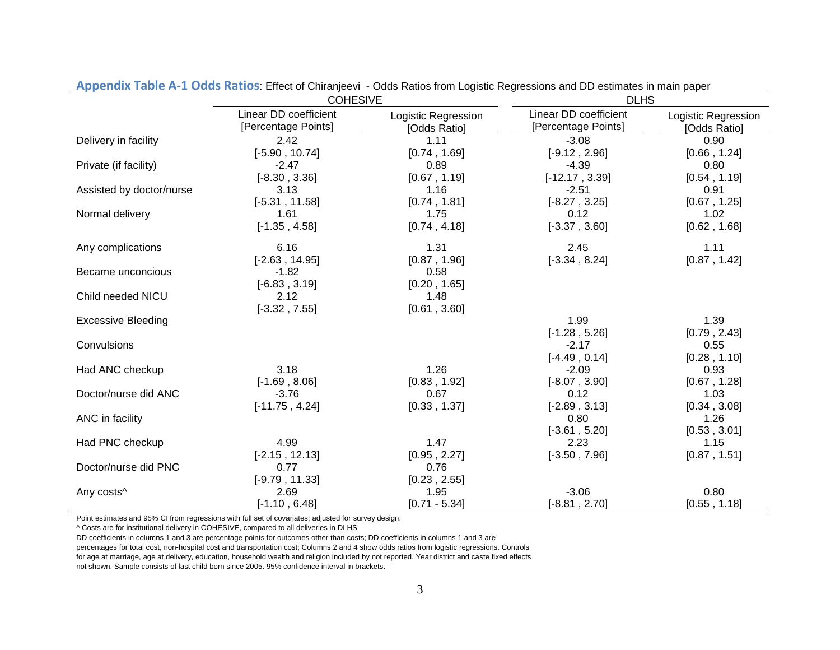<span id="page-2-0"></span>

|                           | <b>COHESIVE</b>                              |                                     | <b>DLHS</b>                                  |                                     |  |  |
|---------------------------|----------------------------------------------|-------------------------------------|----------------------------------------------|-------------------------------------|--|--|
|                           | Linear DD coefficient<br>[Percentage Points] | Logistic Regression<br>[Odds Ratio] | Linear DD coefficient<br>[Percentage Points] | Logistic Regression<br>[Odds Ratio] |  |  |
| Delivery in facility      | 2.42                                         | 1.11                                | $-3.08$                                      | 0.90                                |  |  |
|                           | $[-5.90, 10.74]$                             | [0.74, 1.69]                        | $[-9.12, 2.96]$                              | [0.66, 1.24]                        |  |  |
| Private (if facility)     | $-2.47$                                      | 0.89                                | $-4.39$                                      | 0.80                                |  |  |
|                           | $[-8.30, 3.36]$                              | [0.67, 1.19]                        | $[-12.17, 3.39]$                             | [0.54, 1.19]                        |  |  |
| Assisted by doctor/nurse  | 3.13                                         | 1.16                                | $-2.51$                                      | 0.91                                |  |  |
|                           | $[-5.31, 11.58]$                             | [0.74, 1.81]                        | $[-8.27, 3.25]$                              | [0.67, 1.25]                        |  |  |
| Normal delivery           | 1.61                                         | 1.75                                | 0.12                                         | 1.02                                |  |  |
|                           | $[-1.35, 4.58]$                              | [0.74, 4.18]                        | $[-3.37, 3.60]$                              | [0.62, 1.68]                        |  |  |
| Any complications         | 6.16                                         | 1.31                                | 2.45                                         | 1.11                                |  |  |
|                           | $[-2.63, 14.95]$                             | [0.87, 1.96]                        | $[-3.34, 8.24]$                              | [0.87, 1.42]                        |  |  |
| Became unconcious         | $-1.82$                                      | 0.58                                |                                              |                                     |  |  |
|                           | $[-6.83, 3.19]$                              | [0.20, 1.65]                        |                                              |                                     |  |  |
| Child needed NICU         | 2.12                                         | 1.48                                |                                              |                                     |  |  |
|                           | $[-3.32, 7.55]$                              | [0.61, 3.60]                        |                                              |                                     |  |  |
| <b>Excessive Bleeding</b> |                                              |                                     | 1.99                                         | 1.39                                |  |  |
|                           |                                              |                                     | $[-1.28, 5.26]$                              | [0.79, 2.43]                        |  |  |
| Convulsions               |                                              |                                     | $-2.17$                                      | 0.55                                |  |  |
|                           |                                              |                                     | $[-4.49, 0.14]$                              | [0.28, 1.10]                        |  |  |
| Had ANC checkup           | 3.18                                         | 1.26                                | $-2.09$                                      | 0.93                                |  |  |
|                           | $[-1.69, 8.06]$                              | [0.83, 1.92]                        | $[-8.07, 3.90]$                              | [0.67, 1.28]                        |  |  |
| Doctor/nurse did ANC      | $-3.76$                                      | 0.67                                | 0.12                                         | 1.03                                |  |  |
|                           | $[-11.75, 4.24]$                             | [0.33, 1.37]                        | $[-2.89, 3.13]$                              | [0.34, 3.08]                        |  |  |
| ANC in facility           |                                              |                                     | 0.80                                         | 1.26                                |  |  |
|                           |                                              |                                     | $[-3.61, 5.20]$                              | [0.53, 3.01]                        |  |  |
| Had PNC checkup           | 4.99                                         | 1.47                                | 2.23                                         | 1.15                                |  |  |
|                           | $[-2.15, 12.13]$                             | [0.95, 2.27]                        | $[-3.50, 7.96]$                              | [0.87, 1.51]                        |  |  |
| Doctor/nurse did PNC      | 0.77                                         | 0.76                                |                                              |                                     |  |  |
|                           | $[-9.79, 11.33]$                             | [0.23, 2.55]                        |                                              |                                     |  |  |
| Any costs^                | 2.69                                         | 1.95                                | $-3.06$                                      | 0.80                                |  |  |
|                           | $[-1.10, 6.48]$                              | $[0.71 - 5.34]$                     | $[-8.81, 2.70]$                              | [0.55, 1.18]                        |  |  |

**Appendix Table A-1 Odds Ratios**: Effect of Chiranjeevi - Odds Ratios from Logistic Regressions and DD estimates in main paper

Point estimates and 95% CI from regressions with full set of covariates; adjusted for survey design.

^ Costs are for institutional delivery in COHESIVE, compared to all deliveries in DLHS

DD coefficients in columns 1 and 3 are percentage points for outcomes other than costs; DD coefficients in columns 1 and 3 are

percentages for total cost, non-hospital cost and transportation cost; Columns 2 and 4 show odds ratios from logistic regressions. Controls

for age at marriage, age at delivery, education, household wealth and religion included by not reported. Year district and caste fixed effects

not shown. Sample consists of last child born since 2005. 95% confidence interval in brackets.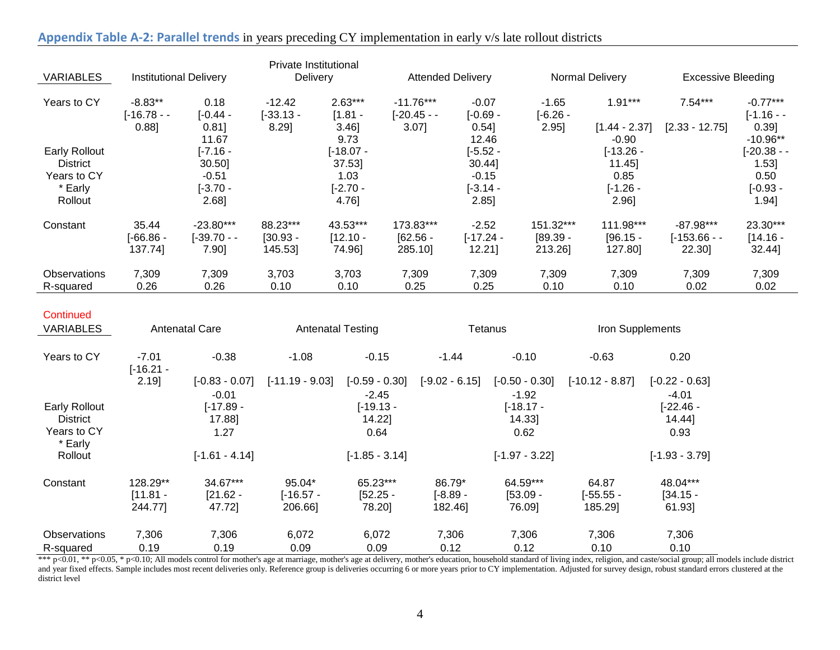| <b>VARIABLES</b>     | <b>Institutional Delivery</b> |             | Private Institutional<br>Delivery |             |             | <b>Attended Delivery</b> |                 |                 |                           |             |
|----------------------|-------------------------------|-------------|-----------------------------------|-------------|-------------|--------------------------|-----------------|-----------------|---------------------------|-------------|
|                      |                               |             |                                   |             |             |                          | Normal Delivery |                 | <b>Excessive Bleeding</b> |             |
| Years to CY          | $-8.83**$                     | 0.18        | $-12.42$                          | $2.63***$   | $-11.76***$ | $-0.07$                  | $-1.65$         | $1.91***$       | $7.54***$                 | $-0.77***$  |
|                      | $[-16.78 -$                   | $[-0.44 -$  | $[-33.13 -$                       | $[1.81 -$   | $[-20.45 -$ | $[-0.69 -$               | [-6.26 -        |                 |                           | $[-1.16 -$  |
|                      | $0.88$ ]                      | $0.81$ ]    | 8.29]                             | $3.46$ ]    | $3.07$ ]    | $0.54$ ]                 | 2.95]           | $[1.44 - 2.37]$ | $[2.33 - 12.75]$          | 0.391       |
|                      |                               | 11.67       |                                   | 9.73        |             | 12.46                    |                 | $-0.90$         |                           | $-10.96**$  |
| <b>Early Rollout</b> |                               | $[-7.16 -$  |                                   | $[-18.07 -$ |             | $[-5.52 -$               |                 | $[-13.26 -$     |                           | $[-20.38 -$ |
| <b>District</b>      |                               | 30.50]      |                                   | 37.53       |             | 30.44]                   |                 | 11.45           |                           | $1.53$ ]    |
| Years to CY          |                               | $-0.51$     |                                   | 1.03        |             | $-0.15$                  |                 | 0.85            |                           | 0.50        |
| * Early              |                               | $[-3.70 -$  |                                   | $[-2.70 -$  |             | $[-3.14 -$               |                 | $[-1.26 -$      |                           | $[-0.93 -$  |
| Rollout              |                               | 2.68]       |                                   | 4.76]       |             | 2.85                     |                 | 2.96]           |                           | 1.94]       |
| Constant             | 35.44                         | $-23.80***$ | 88.23***                          | 43.53***    | 173.83***   | $-2.52$                  | 151.32***       | 111.98***       | $-87.98***$               | 23.30***    |
|                      | $-66.86 -$                    | $[-39.70 -$ | $[30.93 -$                        | $[12.10 -$  | $[62.56 -$  | $[-17.24 -$              | $[89.39 -$      | $[96.15 -$      | $[-153.66 -$              | $[14.16 -$  |
|                      | 137.74]                       | 7.90]       | 145.53]                           | 74.96]      | 285.10      | 12.21]                   | 213.26]         | 127.80]         | 22.30]                    | 32.44]      |
| <b>Observations</b>  | 7,309                         | 7,309       | 3,703                             | 3,703       | 7,309       | 7,309                    | 7,309           | 7,309           | 7,309                     | 7,309       |
| R-squared            | 0.26                          | 0.26        | 0.10                              | 0.10        | 0.25        | 0.25                     | 0.10            | 0.10            | 0.02                      | 0.02        |

## **Appendix Table A-2: Parallel trends** in years preceding CY implementation in early v/s late rollout districts

<span id="page-3-0"></span>

| Continued<br><b>VARIABLES</b> | <b>Antenatal Care</b>  |                  | <b>Antenatal Testing</b> |                  | Tetanus          |                  | Iron Supplements  |                  |
|-------------------------------|------------------------|------------------|--------------------------|------------------|------------------|------------------|-------------------|------------------|
| Years to CY                   | $-7.01$<br>$[-16.21 -$ | $-0.38$          | $-1.08$                  | $-0.15$          | $-1.44$          | $-0.10$          | $-0.63$           | 0.20             |
|                               | 2.19]                  | $[-0.83 - 0.07]$ | $[-11.19 - 9.03]$        | $[-0.59 - 0.30]$ | $[-9.02 - 6.15]$ | $[-0.50 - 0.30]$ | $[-10.12 - 8.87]$ | $[-0.22 - 0.63]$ |
|                               |                        | $-0.01$          |                          | $-2.45$          |                  | $-1.92$          |                   | $-4.01$          |
| <b>Early Rollout</b>          |                        | $[-17.89 -$      |                          | $[-19.13 -$      |                  | $[-18.17 -$      |                   | [-22.46 -        |
| <b>District</b>               |                        | 17.881           |                          | 14.22]           |                  | 14.33]           |                   | 14.44]           |
| Years to CY<br>* Early        |                        | 1.27             |                          | 0.64             |                  | 0.62             |                   | 0.93             |
| Rollout                       |                        | $[-1.61 - 4.14]$ |                          | $[-1.85 - 3.14]$ |                  | $[-1.97 - 3.22]$ |                   | $[-1.93 - 3.79]$ |
| Constant                      | 128.29**               | 34.67***         | 95.04*                   | 65.23***         | 86.79*           | 64.59***         | 64.87             | 48.04***         |
|                               | $[11.81 -$             | $[21.62 -$       | $[-16.57 -$              | $[52.25 -$       | $[-8.89 -$       | $[53.09 -$       | $[-55.55 -$       | $[34.15 -$       |
|                               | 244.77]                | 47.721           | 206.661                  | 78.201           | 182.46]          | 76.091           | 185.29]           | 61.93            |
| <b>Observations</b>           | 7,306                  | 7,306            | 6,072                    | 6,072            | 7,306            | 7,306            | 7,306             | 7,306            |
| R-squared                     | 0.19                   | 0.19             | 0.09                     | 0.09             | 0.12             | 0.12             | 0.10              | 0.10             |

\*\*  $p<0.01$ , \*\*  $p<0.05$ , \*  $p<0.10$ ; All models control for mother's age at marriage, mother's age at delivery, mother's education, household standard of living index, religion, and caste/social group; all models include and year fixed effects. Sample includes most recent deliveries only. Reference group is deliveries occurring 6 or more years prior to CY implementation. Adjusted for survey design, robust standard errors clustered at the district level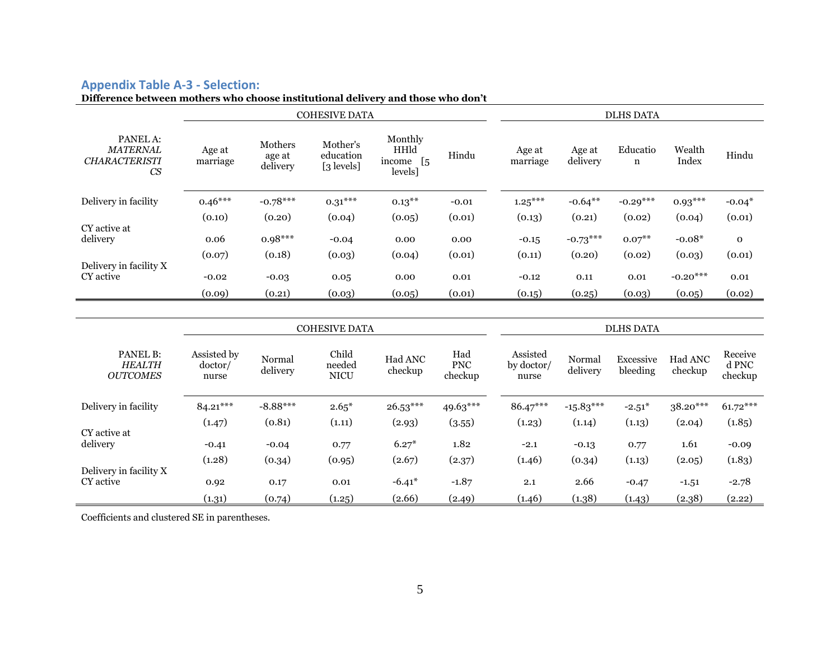## **Appendix Table A-3 - Selection:**

## **Difference between mothers who choose institutional delivery and those who don't**

|                                                           | <b>COHESIVE DATA</b> |                               |                                     |                                                    | <b>DLHS DATA</b> |                    |                    |               |                 |             |
|-----------------------------------------------------------|----------------------|-------------------------------|-------------------------------------|----------------------------------------------------|------------------|--------------------|--------------------|---------------|-----------------|-------------|
| PANEL A:<br><b>MATERNAL</b><br><b>CHARACTERISTI</b><br>CS | Age at<br>marriage   | Mothers<br>age at<br>delivery | Mother's<br>education<br>[3 levels] | Monthly<br>HHld<br>$\sqrt{5}$<br>income<br>levels] | Hindu            | Age at<br>marriage | Age at<br>delivery | Educatio<br>n | Wealth<br>Index | Hindu       |
| Delivery in facility                                      | $0.46***$            | $-0.78***$                    | $0.31***$                           | $0.13***$                                          | $-0.01$          | $1.25***$          | $-0.64***$         | $-0.29***$    | $0.93***$       | $-0.04*$    |
|                                                           | (0.10)               | (0.20)                        | (0.04)                              | (0.05)                                             | (0.01)           | (0.13)             | (0.21)             | (0.02)        | (0.04)          | (0.01)      |
| CY active at<br>delivery                                  | 0.06                 | $0.98***$                     | $-0.04$                             | 0.00                                               | 0.00             | $-0.15$            | $-0.73***$         | $0.07^{**}$   | $-0.08*$        | $\mathbf 0$ |
|                                                           | (0.07)               | (0.18)                        | (0.03)                              | (0.04)                                             | (0.01)           | (0.11)             | (0.20)             | (0.02)        | (0.03)          | (0.01)      |
| Delivery in facility X<br>CY active                       | $-0.02$              | $-0.03$                       | 0.05                                | 0.00                                               | 0.01             | $-0.12$            | 0.11               | 0.01          | $-0.20***$      | 0.01        |
|                                                           | (0.09)               | (0.21)                        | (0.03)                              | (0.05)                                             | (0.01)           | (0.15)             | (0.25)             | (0.03)        | (0.05)          | (0.02)      |
|                                                           |                      |                               |                                     |                                                    |                  |                    |                    |               |                 |             |

<span id="page-4-0"></span>

|                                              | <b>COHESIVE DATA</b>            |                    |                                |                    |                              | <b>DLHS DATA</b>                |                    |                       |                    |                             |
|----------------------------------------------|---------------------------------|--------------------|--------------------------------|--------------------|------------------------------|---------------------------------|--------------------|-----------------------|--------------------|-----------------------------|
| PANEL B:<br><b>HEALTH</b><br><b>OUTCOMES</b> | Assisted by<br>doctor/<br>nurse | Normal<br>delivery | Child<br>needed<br><b>NICU</b> | Had ANC<br>checkup | Had<br><b>PNC</b><br>checkup | Assisted<br>by doctor/<br>nurse | Normal<br>delivery | Excessive<br>bleeding | Had ANC<br>checkup | Receive<br>d PNC<br>checkup |
| Delivery in facility                         | $84.21***$                      | $-8.88***$         | $2.65*$                        | $26.53***$         | 49.63***                     | 86.47***                        | $-15.83***$        | $-2.51*$              | $38.20***$         | $61.72***$                  |
|                                              | (1.47)                          | (0.81)             | (1.11)                         | (2.93)             | (3.55)                       | (1.23)                          | (1.14)             | (1.13)                | (2.04)             | (1.85)                      |
| CY active at                                 |                                 |                    |                                |                    |                              |                                 |                    |                       |                    |                             |
| delivery                                     | $-0.41$                         | $-0.04$            | 0.77                           | $6.27*$            | 1.82                         | $-2.1$                          | $-0.13$            | 0.77                  | 1.61               | $-0.09$                     |
|                                              | (1.28)                          | (0.34)             | (0.95)                         | (2.67)             | (2.37)                       | (1.46)                          | (0.34)             | (1.13)                | (2.05)             | (1.83)                      |
| Delivery in facility X                       |                                 |                    |                                |                    |                              |                                 |                    |                       |                    |                             |
| CY active                                    | 0.92                            | 0.17               | 0.01                           | $-6.41*$           | $-1.87$                      | 2.1                             | 2.66               | $-0.47$               | $-1.51$            | $-2.78$                     |
|                                              | (1.31)                          | (0.74)             | (1.25)                         | (2.66)             | (2.49)                       | (1.46)                          | (1.38)             | (1.43)                | (2.38)             | (2.22)                      |

Coefficients and clustered SE in parentheses.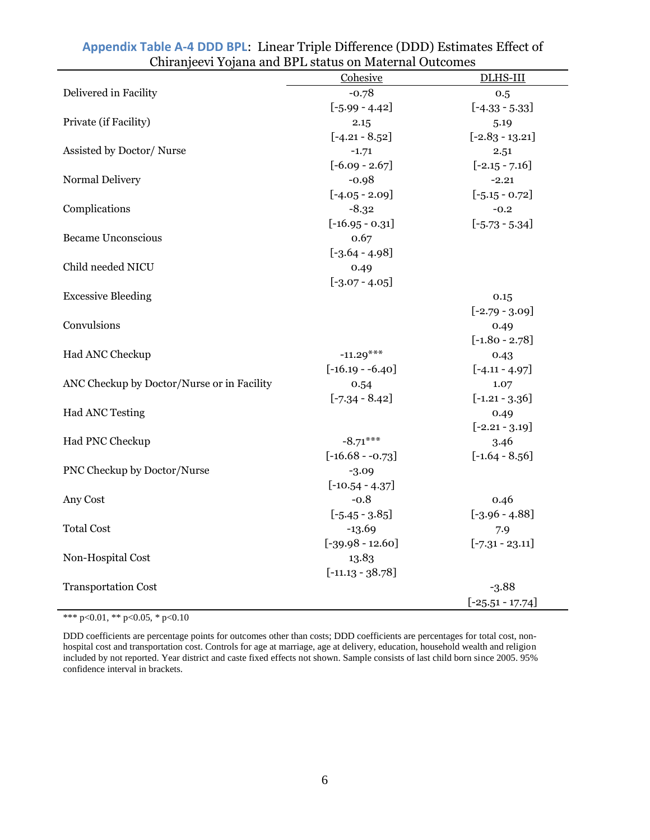|                                            | Cohesive           | DLHS-III           |
|--------------------------------------------|--------------------|--------------------|
| Delivered in Facility                      | $-0.78$            | 0.5                |
|                                            | $[-5.99 - 4.42]$   | $[-4.33 - 5.33]$   |
| Private (if Facility)                      | 2.15               | 5.19               |
|                                            | $[-4.21 - 8.52]$   | $[-2.83 - 13.21]$  |
| Assisted by Doctor/Nurse                   | $-1.71$            | 2.51               |
|                                            | $[-6.09 - 2.67]$   | $[-2.15 - 7.16]$   |
| Normal Delivery                            | $-0.98$            | $-2.21$            |
|                                            | $[-4.05 - 2.09]$   | $[-5.15 - 0.72]$   |
| Complications                              | $-8.32$            | $-0.2$             |
|                                            | $[-16.95 - 0.31]$  | $[-5.73 - 5.34]$   |
| <b>Became Unconscious</b>                  | 0.67               |                    |
|                                            | $[-3.64 - 4.98]$   |                    |
| Child needed NICU                          | 0.49               |                    |
|                                            | $[-3.07 - 4.05]$   |                    |
| <b>Excessive Bleeding</b>                  |                    | 0.15               |
|                                            |                    | $[-2.79 - 3.09]$   |
| Convulsions                                |                    | 0.49               |
|                                            |                    | $[-1.80 - 2.78]$   |
| Had ANC Checkup                            | $-11.29***$        | 0.43               |
|                                            | $[-16.19 - 6.40]$  | $[-4.11 - 4.97]$   |
| ANC Checkup by Doctor/Nurse or in Facility | 0.54               | 1.07               |
|                                            | $[-7.34 - 8.42]$   | $[-1.21 - 3.36]$   |
| <b>Had ANC Testing</b>                     |                    | 0.49               |
|                                            |                    | $[-2.21 - 3.19]$   |
| Had PNC Checkup                            | $-8.71***$         | 3.46               |
|                                            | $[-16.68 - 0.73]$  | $[-1.64 - 8.56]$   |
| PNC Checkup by Doctor/Nurse                | $-3.09$            |                    |
|                                            | $[-10.54 - 4.37]$  |                    |
| Any Cost                                   | $-0.8$             | 0.46               |
|                                            | $[-5.45 - 3.85]$   | $[-3.96 - 4.88]$   |
| <b>Total Cost</b>                          | $-13.69$           | 7.9                |
|                                            | $[-39.98 - 12.60]$ | $[-7.31 - 23.11]$  |
| Non-Hospital Cost                          | 13.83              |                    |
|                                            | $[-11.13 - 38.78]$ |                    |
| <b>Transportation Cost</b>                 |                    | $-3.88$            |
|                                            |                    | $[-25.51 - 17.74]$ |

## <span id="page-5-0"></span>**Appendix Table A-4 DDD BPL**: Linear Triple Difference (DDD) Estimates Effect of Chiranjeevi Yojana and BPL status on Maternal Outcomes

\*\*\* p<0.01, \*\* p<0.05, \* p<0.10

DDD coefficients are percentage points for outcomes other than costs; DDD coefficients are percentages for total cost, nonhospital cost and transportation cost. Controls for age at marriage, age at delivery, education, household wealth and religion included by not reported. Year district and caste fixed effects not shown. Sample consists of last child born since 2005. 95% confidence interval in brackets.